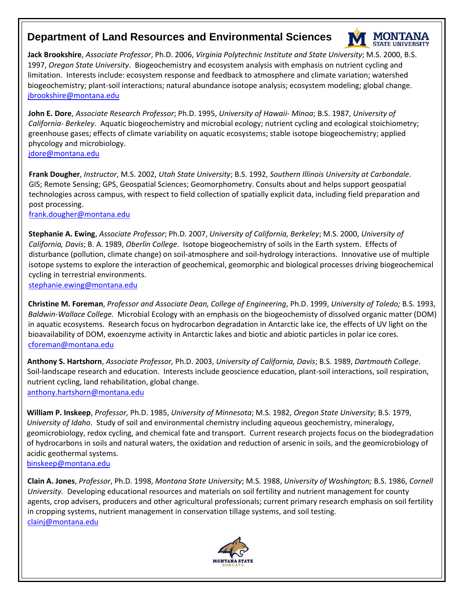## **Department of Land Resources and Environmental Sciences**



**Jack Brookshire**, *Associate Professor*, Ph.D. 2006, *Virginia Polytechnic Institute and State University*; M.S. 2000, B.S. 1997, *Oregon State University*. Biogeochemistry and ecosystem analysis with emphasis on nutrient cycling and limitation. Interests include: ecosystem response and feedback to atmosphere and climate variation; watershed biogeochemistry; plant-soil interactions; natural abundance isotope analysis; ecosystem modeling; global change. jbrookshire@montana.edu

**John E. Dore**, *[Associate Res](mailto:jbrookshire@montana.edu)earch Professor*; Ph.D. 1995, *University of Hawaii- Minoa*; B.S. 1987, *University of California- Berkeley*. Aquatic biogeochemistry and microbial ecology; nutrient cycling and ecological stoichiometry; greenhouse gases; effects of climate variability on aquatic ecosystems; stable isotope biogeochemistry; applied phycology and microbiology.

jdore@montana.edu

**[Frank Dougher](mailto:jdore@montana.edu)**, *Instructor*, M.S. 2002, *Utah State University*; B.S. 1992, *Southern Illinois University at Carbondale*. GIS; Remote Sensing; GPS, Geospatial Sciences; Geomorphometry. Consults about and helps support geospatial [technologies across campus, wit](mailto:frank.dougher@montana.edu)h respect to field collection of spatially explicit data, including field preparation and post processing.

frank.dougher@montana.edu

**[Stephanie A. Ewing](mailto:stephanie.ewing@montana.edu)**, *Associate Professor*; Ph.D*.* 2007, *University of California, Berkeley*; M.S. 2000, *University of California, Davis*; B. A. 1989, *Oberlin College*. Isotope biogeochemistry of soils in the Earth system. Effects of disturbance (pollution, climate change) on soil-atmosphere and soil-hydrology interactions. Innovative use of multiple isotope systems to explore the interaction of geochemical, geomorphic and biological processes driving biogeochemical cycling in terrestrial environments.

stephanie.ewing@montana.edu

**[Christine M. Foreman](mailto:cforeman@montana.edu)**, *Professor and Associate Dean, College of Engineering*, Ph.D. 1999, *University of Toledo;* B.S. 1993, *Baldwin-Wallace College.* Microbial Ecology with an emphasis on the biogeochemisty of dissolved organic matter (DOM) in aquatic ecosystems. Research focus on hydrocarbon degradation in Antarctic lake ice, the effects of UV light on the bioavailability of DOM, exoenzyme activity in Antarctic lakes and biotic and abiotic particles in polar ice cores. [cforeman@montana.edu](mailto:anthony.hartshorn@montana.edu)

**Anthony S. Hartshorn**, *Associate Professor,* Ph.D. 2003, *University of California, Davis*; B.S. 1989, *Dartmouth College*. Soil-landscape research and education. Interests include geoscience education, plant-soil interactions, soil respiration, nutrient cycling, land rehabilitation, global change. anthony.hartshorn@montana.edu

**William P. Inskeep**, *Professor,* Ph.D. 1985, *University of Minnesota*; M.S. 1982, *Oregon State University*; B.S. 1979, *[University of Idaho](mailto:Binskeep@montana.edu)*. Study of soil and environmental chemistry including aqueous geochemistry, mineralogy, geomicrobiology, redox cycling, and chemical fate and transport. Current research projects focus on the biodegradation of hydrocarbons in soils and natural waters, the oxidation and reduction of arsenic in soils, and the geomicrobiology of acidic geothermal systems.

binskeep@montana.edu

**[Clain A. Jones](mailto:clainj@montana.edu)**, *Professor*, Ph.D*.* 1998, *Montana State University*; M.S. 1988, *University of Washington;* B.S. 1986, *Cornell University.* Developing educational resources and materials on soil fertility and nutrient management for county agents, crop advisers, producers and other agricultural professionals; current primary research emphasis on soil fertility in cropping systems, nutrient management in conservation tillage systems, and soil testing. clainj@montana.edu

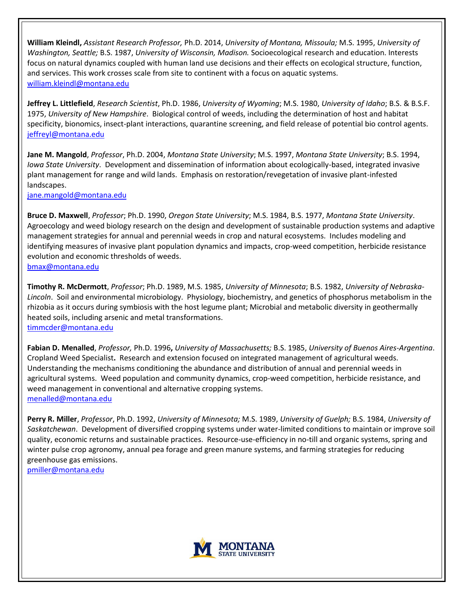**William Kleindl,** *Assistant Research Professor,* Ph.D. 2014, *University of Montana, Missoula;* M.S. 1995, *University of Washington, Seattle;* B.S. 1987, *University of Wisconsin, Madison.* Socioecological research and education. Interests focus on natural dynamics coupled with human land use decisions and their effects on ecological structure, function, and services. This work crosses scale from site to continent with a focus on aquatic systems. [william.kleindl@montana.edu](mailto:william.kleindl@montana.edu)

**Jeffrey L. Littlefield**, *Research Scientist*, Ph.D. 1986, *University of Wyoming*; M.S. 1980, *University of Idaho*; B.S. & B.S.F. 1975, *University of New Hampshire*. Biological control of weeds, including the determination of host and habitat specificity, bionomics, insect-plant interactions, quarantine screening, and field release of potential bio control agents. [jeffreyl@montana.edu](mailto:Jeffrey@montana.edu)

**Jane M. Mangold**, *Professor*, Ph.D. 2004, *Montana State University*; M.S. 1997, *Montana State University*; B.S. 1994, *Iowa State University*. Development and dissemination of information about ecologically-based, integrated invasive plant management for range and wild lands. Emphasis on restoration/revegetation of invasive plant-infested landscapes.

[jane.mangold@montana.edu](mailto:jane.mangold@montana.edu)

**Bruce D. Maxwell**, *Professor*; Ph.D. 1990, *Oregon State University*; M.S. 1984, B.S. 1977, *Montana State University*. Agroecology and weed biology research on the design and development of sustainable production systems and adaptive management strategies for annual and perennial weeds in crop and natural ecosystems. Includes modeling and identifying measures of invasive plant population dynamics and impacts, crop-weed competition, herbicide resistance evolution and economic thresholds of weeds. [bmax@montana.edu](mailto:bmax@mon/hich/af0/dbch/af37/loch/f0%20tana.edu)

**Timothy R. McDermott**, *Professor*; Ph.D. 1989, M.S. 1985, *University of Minnesota*; B.S. 1982, *University of Nebraska-Lincoln*. Soil and environmental microbiology. Physiology, biochemistry, and genetics of phosphorus metabolism in the rhizobia as it occurs during symbiosis with the host legume plant; Microbial and metabolic diversity in geothermally heated soils, including arsenic and metal transformations. [timmcder@montana.edu](mailto:timmcder@montana.edu)

**Fabian D. Menalled**, *Professor,* Ph.D. 1996**,** *University of Massachusetts;* B.S. 1985, *University of Buenos Aires-Argentina*. Cropland Weed Specialist**.** Research and extension focused on integrated management of agricultural weeds. Understanding the mechanisms conditioning the abundance and distribution of annual and perennial weeds in agricultural systems. Weed population and community dynamics, crop-weed competition, herbicide resistance, and weed management in conventional and alternative cropping systems. [menalled@montana.edu](mailto:menalled@montana.edu)

**Perry R. Miller**, *Professor*, Ph.D. 1992, *University of Minnesota;* M.S. 1989, *University of Guelph;* B.S. 1984, *University of Saskatchewan*. Development of diversified cropping systems under water-limited conditions to maintain or improve soil quality, economic returns and sustainable practices. Resource-use-efficiency in no-till and organic systems, spring and winter pulse crop agronomy, annual pea forage and green manure systems, and farming strategies for reducing greenhouse gas emissions.

[pmiller@montana.edu](mailto:Pmiller@montana.edu)

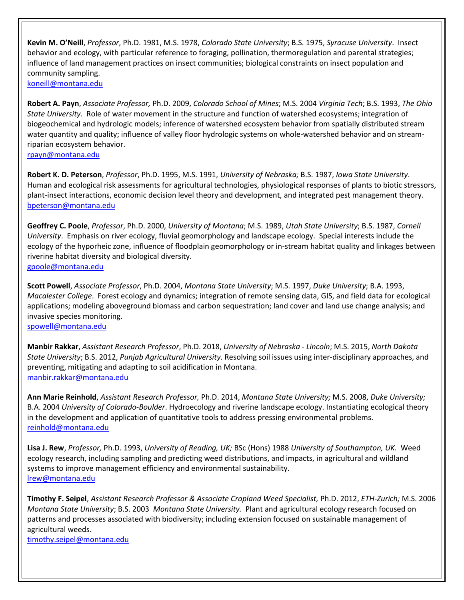**Kevin M. O'Neill**, *Professor*, Ph.D. 1981, M.S. 1978, *Colorado State University*; B.S. 1975, *Syracuse University*. Insect behavior and ecology, with particular reference to foraging, pollination, thermoregulation and parental strategies; influence of land management practices on insect communities; biological constraints on insect population and community sampling. [koneill@montana.edu](mailto:Koneill@montana.edu)

**Robert A. Payn**, *Associate Professor,* Ph.D. 2009, *Colorado School of Mines*; M.S. 2004 *Virginia Tech*; B.S. 1993, *The Ohio State University*. Role of water movement in the structure and function of watershed ecosystems; integration of biogeochemical and hydrologic models; inference of watershed ecosystem behavior from spatially distributed stream water quantity and quality; influence of valley floor hydrologic systems on whole-watershed behavior and on streamriparian ecosystem behavior.

[rpayn@montana.edu](mailto:rpayn@montana.edu)

**Robert K. D. Peterson**, *Professor*, Ph.D. 1995, M.S. 1991, *University of Nebraska;* B.S. 1987, *Iowa State University*. Human and ecological risk assessments for agricultural technologies, physiological responses of plants to biotic stressors, plant-insect interactions, economic decision level theory and development, and integrated pest management theory. [bpeterson@montana.edu](mailto:bpeterson@montana.edu)

**Geoffrey C. Poole**, *Professor*, Ph.D. 2000, *University of Montana*; M.S. 1989, *Utah State University*; B.S. 1987, *Cornell University*. Emphasis on river ecology, fluvial geomorphology and landscape ecology. Special interests include the ecology of the hyporheic zone, influence of floodplain geomorphology or in-stream habitat quality and linkages between riverine habitat diversity and biological diversity. [gpoole@montana.edu](mailto:gpoole@mo/hich/af0/dbch/af37/loch/f0%20ntana.edu)

**Scott Powell**, *Associate Professor*, Ph.D. 2004, *Montana State University*; M.S. 1997, *Duke University*; B.A. 1993, *Macalester College*. Forest ecology and dynamics; integration of remote sensing data, GIS, and field data for ecological applications; modeling aboveground biomass and carbon sequestration; land cover and land use change analysis; and invasive species monitoring.

[spowell@montana.edu](mailto:spowell@montana.edu)

**Manbir Rakkar**, *Assistant Research Professor*, Ph.D. 2018, *University of Nebraska - Lincoln*; M.S. 2015, *North Dakota State University*; B.S. 2012, *Punjab Agricultural University*. Resolving soil issues using inter-disciplinary approaches, and preventing, mitigating and adapting to soil acidification in Montana. [manbir.rakkar@montana.edu](mailto:jpriscu@montana.edu) 

**Ann Marie Reinhold**, *Assistant Research Professor,* Ph.D. 2014, *Montana State University;* M.S. 2008, *Duke University;*  B.A. 2004 *University of Colorado-Boulder*. Hydroecology and riverine landscape ecology. Instantiating ecological theory in the development and application of quantitative tools to address pressing environmental problems. [reinhold@montana.edu](mailto:reinhold@montana.edu)

**Lisa J. Rew**, *Professor,* Ph.D. 1993, *University of Reading, UK;* BSc (Hons) 1988 *University of Southampton, UK.* Weed ecology research, including sampling and predicting weed distributions, and impacts, in agricultural and wildland systems to improve management efficiency and environmental sustainability. [lrew@montana.edu](mailto:lrew@montana.edu)

**Timothy F. Seipel**, *Assistant Research Professor & Associate Cropland Weed Specialist,* Ph.D. 2012, *ETH-Zurich;* M.S. 2006 *Montana State University*; B.S. 2003 *Montana State University.* Plant and agricultural ecology research focused on patterns and processes associated with biodiversity; including extension focused on sustainable management of agricultural weeds.

[timothy.seipel@montana.edu](mailto:timothy.seipel@montana.edu)